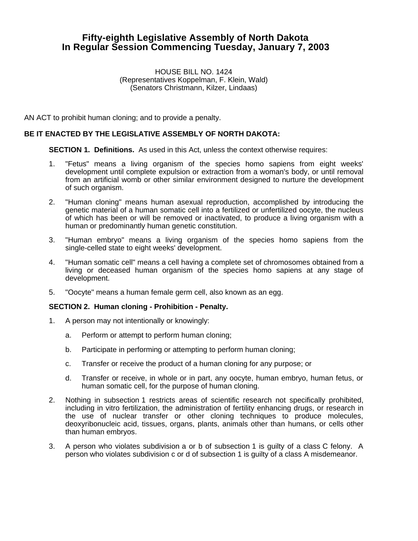## **Fifty-eighth Legislative Assembly of North Dakota In Regular Session Commencing Tuesday, January 7, 2003**

HOUSE BILL NO. 1424 (Representatives Koppelman, F. Klein, Wald) (Senators Christmann, Kilzer, Lindaas)

AN ACT to prohibit human cloning; and to provide a penalty.

## **BE IT ENACTED BY THE LEGISLATIVE ASSEMBLY OF NORTH DAKOTA:**

**SECTION 1. Definitions.** As used in this Act, unless the context otherwise requires:

- 1. "Fetus" means a living organism of the species homo sapiens from eight weeks' development until complete expulsion or extraction from a woman's body, or until removal from an artificial womb or other similar environment designed to nurture the development of such organism.
- 2. "Human cloning" means human asexual reproduction, accomplished by introducing the genetic material of a human somatic cell into a fertilized or unfertilized oocyte, the nucleus of which has been or will be removed or inactivated, to produce a living organism with a human or predominantly human genetic constitution.
- 3. "Human embryo" means a living organism of the species homo sapiens from the single-celled state to eight weeks' development.
- 4. "Human somatic cell" means a cell having a complete set of chromosomes obtained from a living or deceased human organism of the species homo sapiens at any stage of development.
- 5. "Oocyte" means a human female germ cell, also known as an egg.

## **SECTION 2. Human cloning - Prohibition - Penalty.**

- 1. A person may not intentionally or knowingly:
	- a. Perform or attempt to perform human cloning;
	- b. Participate in performing or attempting to perform human cloning;
	- c. Transfer or receive the product of a human cloning for any purpose; or
	- d. Transfer or receive, in whole or in part, any oocyte, human embryo, human fetus, or human somatic cell, for the purpose of human cloning.
- 2. Nothing in subsection 1 restricts areas of scientific research not specifically prohibited, including in vitro fertilization, the administration of fertility enhancing drugs, or research in the use of nuclear transfer or other cloning techniques to produce molecules, deoxyribonucleic acid, tissues, organs, plants, animals other than humans, or cells other than human embryos.
- 3. A person who violates subdivision a or b of subsection 1 is guilty of a class C felony. A person who violates subdivision c or d of subsection 1 is guilty of a class A misdemeanor.